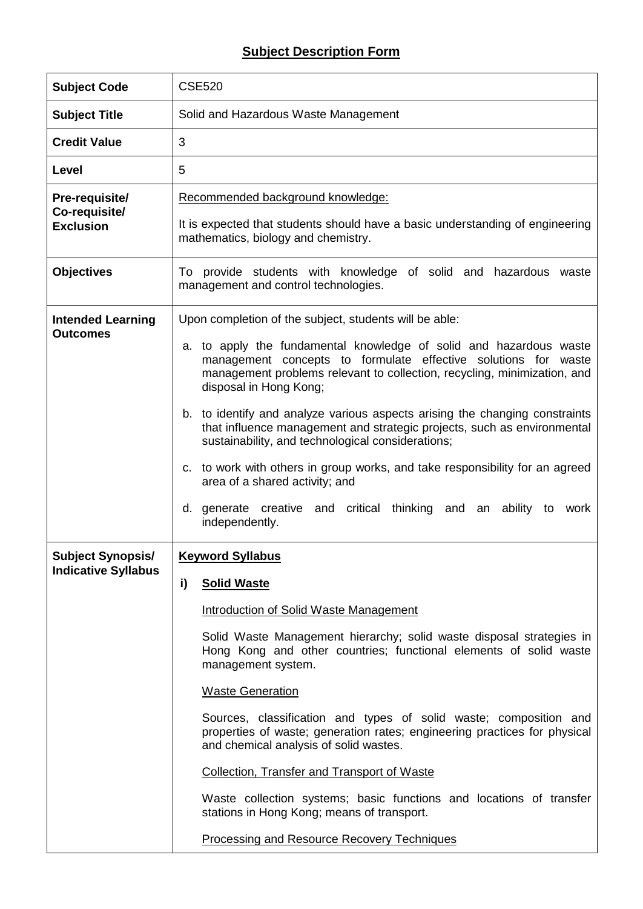## **Subject Description Form**

| <b>Subject Code</b>                                    | <b>CSE520</b>                                                                                                                                                                                                                                                                                                                                                                                                                                                                                                                                                                                                                                                                                                                |
|--------------------------------------------------------|------------------------------------------------------------------------------------------------------------------------------------------------------------------------------------------------------------------------------------------------------------------------------------------------------------------------------------------------------------------------------------------------------------------------------------------------------------------------------------------------------------------------------------------------------------------------------------------------------------------------------------------------------------------------------------------------------------------------------|
| <b>Subject Title</b>                                   | Solid and Hazardous Waste Management                                                                                                                                                                                                                                                                                                                                                                                                                                                                                                                                                                                                                                                                                         |
| <b>Credit Value</b>                                    | 3                                                                                                                                                                                                                                                                                                                                                                                                                                                                                                                                                                                                                                                                                                                            |
| Level                                                  | 5                                                                                                                                                                                                                                                                                                                                                                                                                                                                                                                                                                                                                                                                                                                            |
| Pre-requisite/<br>Co-requisite/<br><b>Exclusion</b>    | Recommended background knowledge:<br>It is expected that students should have a basic understanding of engineering<br>mathematics, biology and chemistry.                                                                                                                                                                                                                                                                                                                                                                                                                                                                                                                                                                    |
| <b>Objectives</b>                                      | To provide students with knowledge of solid and hazardous waste<br>management and control technologies.                                                                                                                                                                                                                                                                                                                                                                                                                                                                                                                                                                                                                      |
| <b>Intended Learning</b><br><b>Outcomes</b>            | Upon completion of the subject, students will be able:<br>a. to apply the fundamental knowledge of solid and hazardous waste<br>management concepts to formulate effective solutions for waste<br>management problems relevant to collection, recycling, minimization, and<br>disposal in Hong Kong;<br>b. to identify and analyze various aspects arising the changing constraints<br>that influence management and strategic projects, such as environmental<br>sustainability, and technological considerations;<br>c. to work with others in group works, and take responsibility for an agreed<br>area of a shared activity; and<br>d. generate creative and critical thinking and an ability to work<br>independently. |
| <b>Subject Synopsis/</b><br><b>Indicative Syllabus</b> | <b>Keyword Syllabus</b><br><b>Solid Waste</b><br>i)<br>Introduction of Solid Waste Management<br>Solid Waste Management hierarchy; solid waste disposal strategies in<br>Hong Kong and other countries; functional elements of solid waste<br>management system.<br><b>Waste Generation</b><br>Sources, classification and types of solid waste; composition and<br>properties of waste; generation rates; engineering practices for physical<br>and chemical analysis of solid wastes.<br><b>Collection, Transfer and Transport of Waste</b><br>Waste collection systems; basic functions and locations of transfer<br>stations in Hong Kong; means of transport.<br><b>Processing and Resource Recovery Techniques</b>     |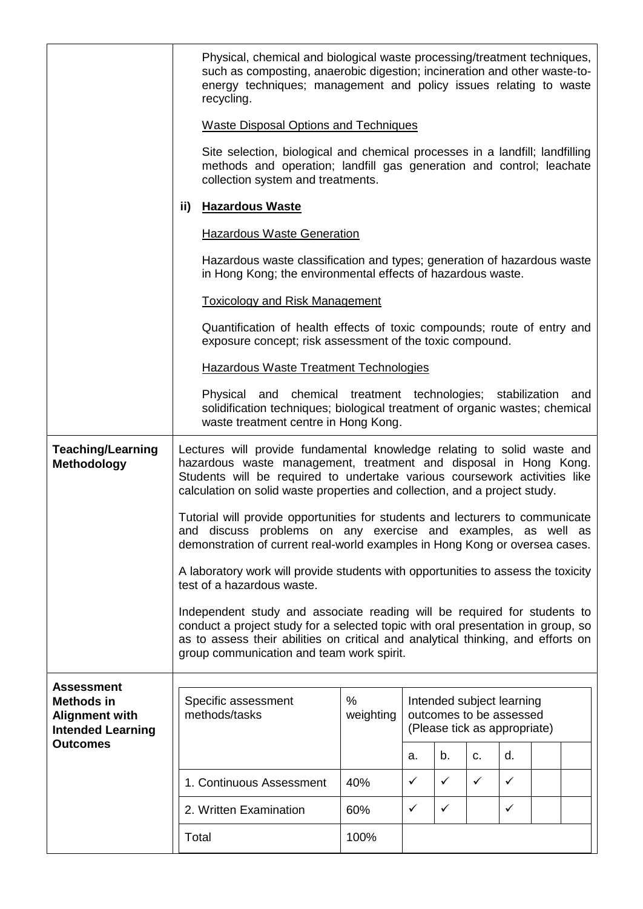|                                                                                             |                                                                                                                                                                                                                                                                                                        | Physical, chemical and biological waste processing/treatment techniques,<br>such as composting, anaerobic digestion; incineration and other waste-to-<br>energy techniques; management and policy issues relating to waste<br>recycling.                                                      |                |                                                                                      |              |              |              |  |     |
|---------------------------------------------------------------------------------------------|--------------------------------------------------------------------------------------------------------------------------------------------------------------------------------------------------------------------------------------------------------------------------------------------------------|-----------------------------------------------------------------------------------------------------------------------------------------------------------------------------------------------------------------------------------------------------------------------------------------------|----------------|--------------------------------------------------------------------------------------|--------------|--------------|--------------|--|-----|
|                                                                                             |                                                                                                                                                                                                                                                                                                        | <b>Waste Disposal Options and Techniques</b>                                                                                                                                                                                                                                                  |                |                                                                                      |              |              |              |  |     |
|                                                                                             |                                                                                                                                                                                                                                                                                                        | Site selection, biological and chemical processes in a landfill; landfilling<br>methods and operation; landfill gas generation and control; leachate<br>collection system and treatments.                                                                                                     |                |                                                                                      |              |              |              |  |     |
|                                                                                             | ii)                                                                                                                                                                                                                                                                                                    | <b>Hazardous Waste</b>                                                                                                                                                                                                                                                                        |                |                                                                                      |              |              |              |  |     |
|                                                                                             |                                                                                                                                                                                                                                                                                                        | <b>Hazardous Waste Generation</b>                                                                                                                                                                                                                                                             |                |                                                                                      |              |              |              |  |     |
|                                                                                             |                                                                                                                                                                                                                                                                                                        | Hazardous waste classification and types; generation of hazardous waste<br>in Hong Kong; the environmental effects of hazardous waste.                                                                                                                                                        |                |                                                                                      |              |              |              |  |     |
|                                                                                             |                                                                                                                                                                                                                                                                                                        | <b>Toxicology and Risk Management</b>                                                                                                                                                                                                                                                         |                |                                                                                      |              |              |              |  |     |
|                                                                                             |                                                                                                                                                                                                                                                                                                        | Quantification of health effects of toxic compounds; route of entry and<br>exposure concept; risk assessment of the toxic compound.                                                                                                                                                           |                |                                                                                      |              |              |              |  |     |
|                                                                                             |                                                                                                                                                                                                                                                                                                        | <b>Hazardous Waste Treatment Technologies</b>                                                                                                                                                                                                                                                 |                |                                                                                      |              |              |              |  |     |
|                                                                                             |                                                                                                                                                                                                                                                                                                        | Physical and chemical treatment technologies; stabilization<br>solidification techniques; biological treatment of organic wastes; chemical<br>waste treatment centre in Hong Kong.                                                                                                            |                |                                                                                      |              |              |              |  | and |
| <b>Teaching/Learning</b><br>Methodology                                                     | Lectures will provide fundamental knowledge relating to solid waste and<br>hazardous waste management, treatment and disposal in Hong Kong.<br>Students will be required to undertake various coursework activities like<br>calculation on solid waste properties and collection, and a project study. |                                                                                                                                                                                                                                                                                               |                |                                                                                      |              |              |              |  |     |
|                                                                                             |                                                                                                                                                                                                                                                                                                        | Tutorial will provide opportunities for students and lecturers to communicate<br>and discuss problems on any exercise and examples, as well as<br>demonstration of current real-world examples in Hong Kong or oversea cases.                                                                 |                |                                                                                      |              |              |              |  |     |
|                                                                                             |                                                                                                                                                                                                                                                                                                        | A laboratory work will provide students with opportunities to assess the toxicity<br>test of a hazardous waste.                                                                                                                                                                               |                |                                                                                      |              |              |              |  |     |
|                                                                                             |                                                                                                                                                                                                                                                                                                        | Independent study and associate reading will be required for students to<br>conduct a project study for a selected topic with oral presentation in group, so<br>as to assess their abilities on critical and analytical thinking, and efforts on<br>group communication and team work spirit. |                |                                                                                      |              |              |              |  |     |
| <b>Assessment</b><br><b>Methods in</b><br><b>Alignment with</b><br><b>Intended Learning</b> |                                                                                                                                                                                                                                                                                                        | Specific assessment<br>methods/tasks                                                                                                                                                                                                                                                          | %<br>weighting | Intended subject learning<br>outcomes to be assessed<br>(Please tick as appropriate) |              |              |              |  |     |
| <b>Outcomes</b>                                                                             |                                                                                                                                                                                                                                                                                                        |                                                                                                                                                                                                                                                                                               |                | a.                                                                                   | b.           | C.           | d.           |  |     |
|                                                                                             |                                                                                                                                                                                                                                                                                                        | 1. Continuous Assessment                                                                                                                                                                                                                                                                      | 40%            | $\checkmark$                                                                         | ✓            | $\checkmark$ | $\checkmark$ |  |     |
|                                                                                             |                                                                                                                                                                                                                                                                                                        | 2. Written Examination                                                                                                                                                                                                                                                                        | 60%            | $\checkmark$                                                                         | $\checkmark$ |              | $\checkmark$ |  |     |
|                                                                                             |                                                                                                                                                                                                                                                                                                        | Total                                                                                                                                                                                                                                                                                         | 100%           |                                                                                      |              |              |              |  |     |